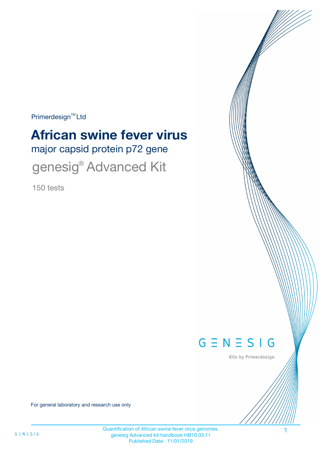Primerdesign<sup>™</sup>Ltd

# major capsid protein p72 gene **African swine fever virus**

genesig<sup>®</sup> Advanced Kit

150 tests



Kits by Primerdesign

For general laboratory and research use only

Quantification of African swine fever virus genomes. genesig Advanced kit handbook HB10.03.11 Published Date: 11/01/2019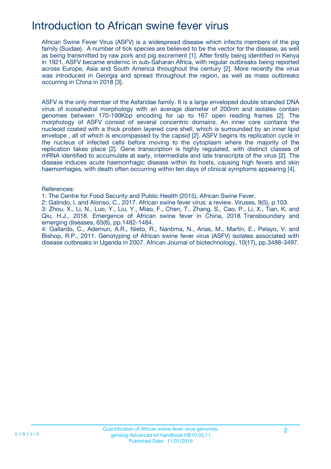### Introduction to African swine fever virus

African Swine Fever Virus (ASFV) is a widespread disease which infects members of the pig family (Suidae). A number of tick species are believed to be the vector for the disease, as well as being transmitted by raw pork and pig excrement [1]. After firstly being identified in Kenya in 1921, ASFV became endemic in sub-Saharan Africa, with regular outbreaks being reported across Europe, Asia and South America throughout the century [2]. More recently the virus was introduced in Georgia and spread throughout the region, as well as mass outbreaks occurring in China in 2018 [3].

ASFV is the only member of the Asfaridae family. It is a large enveloped double stranded DNA virus of icosahedral morphology with an average diameter of 200nm and isolates contain genomes between 170-190Kbp encoding for up to 167 open reading frames [2]. The morphology of ASFV consist of several concentric domains. An inner core contains the nucleoid coated with a thick protein layered core shell, which is surrounded by an inner lipid envelope , all of which is encompassed by the capsid [2]. ASFV begins its replication cycle in the nucleus of infected cells before moving to the cytoplasm where the majority of the replication takes place [2]. Gene transcription is highly regulated, with distinct classes of mRNA identified to accumulate at early, intermediate and late transcripts of the virus [2]. The disease induces acute haemorrhagic disease within its hosts, causing high fevers and skin haemorrhages, with death often occurring within ten days of clinical symptoms appearing [4].

#### References:

1: The Centre for Food Security and Public Health (2015), African Swine Fever.

2: Galindo, I. and Alonso, C., 2017. African swine fever virus: a review. Viruses, 9(5), p.103.

3: Zhou, X., Li, N., Luo, Y., Liu, Y., Miao, F., Chen, T., Zhang, S., Cao, P., Li, X., Tian, K. and Qiu, H.J., 2018. Emergence of African swine fever in China, 2018. Transboundary and emerging diseases, 65(6), pp.1482-1484.

4: Gallardo, C., Ademun, A.R., Nieto, R., Nantima, N., Arias, M., Martín, E., Pelayo, V. and Bishop, R.P., 2011. Genotyping of African swine fever virus (ASFV) isolates associated with disease outbreaks in Uganda in 2007. African Journal of biotechnology, 10(17), pp.3488-3497.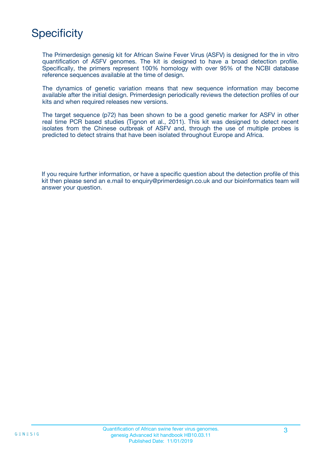## **Specificity**

The Primerdesign genesig kit for African Swine Fever Virus (ASFV) is designed for the in vitro quantification of ASFV genomes. The kit is designed to have a broad detection profile. Specifically, the primers represent 100% homology with over 95% of the NCBI database reference sequences available at the time of design.

The dynamics of genetic variation means that new sequence information may become available after the initial design. Primerdesign periodically reviews the detection profiles of our kits and when required releases new versions.

The target sequence (p72) has been shown to be a good genetic marker for ASFV in other real time PCR based studies (Tignon et al., 2011). This kit was designed to detect recent isolates from the Chinese outbreak of ASFV and, through the use of multiple probes is predicted to detect strains that have been isolated throughout Europe and Africa.

If you require further information, or have a specific question about the detection profile of this kit then please send an e.mail to enquiry@primerdesign.co.uk and our bioinformatics team will answer your question.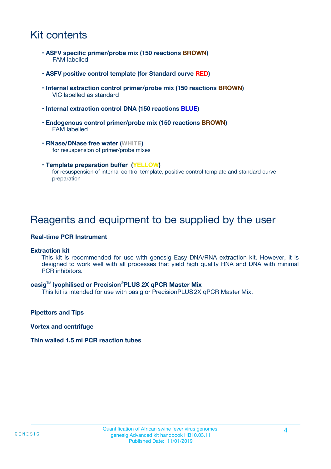## Kit contents

- **ASFV specific primer/probe mix (150 reactions BROWN)** FAM labelled
- **ASFV positive control template (for Standard curve RED)**
- **Internal extraction control primer/probe mix (150 reactions BROWN)** VIC labelled as standard
- **Internal extraction control DNA (150 reactions BLUE)**
- **Endogenous control primer/probe mix (150 reactions BROWN)** FAM labelled
- **RNase/DNase free water (WHITE)** for resuspension of primer/probe mixes
- **Template preparation buffer (YELLOW)** for resuspension of internal control template, positive control template and standard curve preparation

### Reagents and equipment to be supplied by the user

#### **Real-time PCR Instrument**

#### **Extraction kit**

This kit is recommended for use with genesig Easy DNA/RNA extraction kit. However, it is designed to work well with all processes that yield high quality RNA and DNA with minimal PCR inhibitors.

#### **oasig**TM **lyophilised or Precision**®**PLUS 2X qPCR Master Mix**

This kit is intended for use with oasig or PrecisionPLUS2X qPCR Master Mix.

**Pipettors and Tips**

**Vortex and centrifuge**

#### **Thin walled 1.5 ml PCR reaction tubes**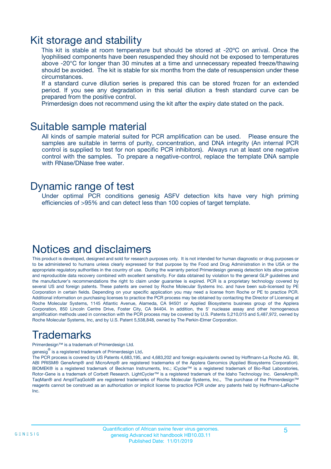### Kit storage and stability

This kit is stable at room temperature but should be stored at -20ºC on arrival. Once the lyophilised components have been resuspended they should not be exposed to temperatures above -20°C for longer than 30 minutes at a time and unnecessary repeated freeze/thawing should be avoided. The kit is stable for six months from the date of resuspension under these circumstances.

If a standard curve dilution series is prepared this can be stored frozen for an extended period. If you see any degradation in this serial dilution a fresh standard curve can be prepared from the positive control.

Primerdesign does not recommend using the kit after the expiry date stated on the pack.

### Suitable sample material

All kinds of sample material suited for PCR amplification can be used. Please ensure the samples are suitable in terms of purity, concentration, and DNA integrity (An internal PCR control is supplied to test for non specific PCR inhibitors). Always run at least one negative control with the samples. To prepare a negative-control, replace the template DNA sample with RNase/DNase free water.

### Dynamic range of test

Under optimal PCR conditions genesig ASFV detection kits have very high priming efficiencies of >95% and can detect less than 100 copies of target template.

## Notices and disclaimers

This product is developed, designed and sold for research purposes only. It is not intended for human diagnostic or drug purposes or to be administered to humans unless clearly expressed for that purpose by the Food and Drug Administration in the USA or the appropriate regulatory authorities in the country of use. During the warranty period Primerdesign genesig detection kits allow precise and reproducible data recovery combined with excellent sensitivity. For data obtained by violation to the general GLP guidelines and the manufacturer's recommendations the right to claim under guarantee is expired. PCR is a proprietary technology covered by several US and foreign patents. These patents are owned by Roche Molecular Systems Inc. and have been sub-licensed by PE Corporation in certain fields. Depending on your specific application you may need a license from Roche or PE to practice PCR. Additional information on purchasing licenses to practice the PCR process may be obtained by contacting the Director of Licensing at Roche Molecular Systems, 1145 Atlantic Avenue, Alameda, CA 94501 or Applied Biosystems business group of the Applera Corporation, 850 Lincoln Centre Drive, Foster City, CA 94404. In addition, the 5' nuclease assay and other homogeneous amplification methods used in connection with the PCR process may be covered by U.S. Patents 5,210,015 and 5,487,972, owned by Roche Molecular Systems, Inc, and by U.S. Patent 5,538,848, owned by The Perkin-Elmer Corporation.

## Trademarks

Primerdesign™ is a trademark of Primerdesign Ltd.

genesig $^\circledR$  is a registered trademark of Primerdesign Ltd.

The PCR process is covered by US Patents 4,683,195, and 4,683,202 and foreign equivalents owned by Hoffmann-La Roche AG. BI, ABI PRISM® GeneAmp® and MicroAmp® are registered trademarks of the Applera Genomics (Applied Biosystems Corporation). BIOMEK® is a registered trademark of Beckman Instruments, Inc.; iCycler™ is a registered trademark of Bio-Rad Laboratories, Rotor-Gene is a trademark of Corbett Research. LightCycler™ is a registered trademark of the Idaho Technology Inc. GeneAmp®, TaqMan® and AmpliTaqGold® are registered trademarks of Roche Molecular Systems, Inc., The purchase of the Primerdesign™ reagents cannot be construed as an authorization or implicit license to practice PCR under any patents held by Hoffmann-LaRoche Inc.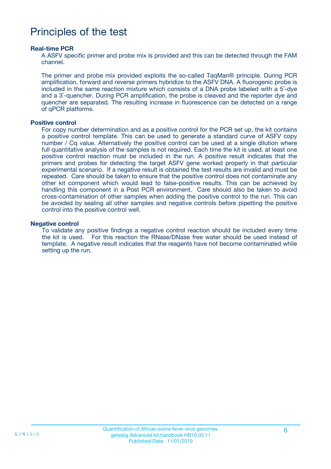### Principles of the test

#### **Real-time PCR**

A ASFV specific primer and probe mix is provided and this can be detected through the FAM channel.

The primer and probe mix provided exploits the so-called TaqMan® principle. During PCR amplification, forward and reverse primers hybridize to the ASFV DNA. A fluorogenic probe is included in the same reaction mixture which consists of a DNA probe labeled with a 5`-dye and a 3`-quencher. During PCR amplification, the probe is cleaved and the reporter dye and quencher are separated. The resulting increase in fluorescence can be detected on a range of qPCR platforms.

#### **Positive control**

For copy number determination and as a positive control for the PCR set up, the kit contains a positive control template. This can be used to generate a standard curve of ASFV copy number / Cq value. Alternatively the positive control can be used at a single dilution where full quantitative analysis of the samples is not required. Each time the kit is used, at least one positive control reaction must be included in the run. A positive result indicates that the primers and probes for detecting the target ASFV gene worked properly in that particular experimental scenario. If a negative result is obtained the test results are invalid and must be repeated. Care should be taken to ensure that the positive control does not contaminate any other kit component which would lead to false-positive results. This can be achieved by handling this component in a Post PCR environment. Care should also be taken to avoid cross-contamination of other samples when adding the positive control to the run. This can be avoided by sealing all other samples and negative controls before pipetting the positive control into the positive control well.

#### **Negative control**

To validate any positive findings a negative control reaction should be included every time the kit is used. For this reaction the RNase/DNase free water should be used instead of template. A negative result indicates that the reagents have not become contaminated while setting up the run.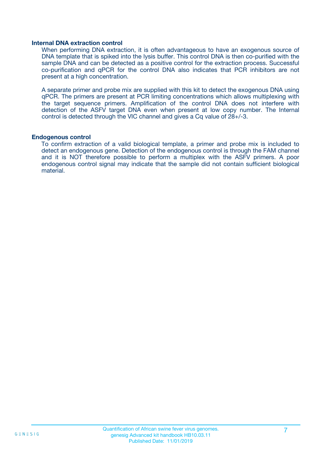#### **Internal DNA extraction control**

When performing DNA extraction, it is often advantageous to have an exogenous source of DNA template that is spiked into the lysis buffer. This control DNA is then co-purified with the sample DNA and can be detected as a positive control for the extraction process. Successful co-purification and qPCR for the control DNA also indicates that PCR inhibitors are not present at a high concentration.

A separate primer and probe mix are supplied with this kit to detect the exogenous DNA using qPCR. The primers are present at PCR limiting concentrations which allows multiplexing with the target sequence primers. Amplification of the control DNA does not interfere with detection of the ASFV target DNA even when present at low copy number. The Internal control is detected through the VIC channel and gives a Cq value of 28+/-3.

#### **Endogenous control**

To confirm extraction of a valid biological template, a primer and probe mix is included to detect an endogenous gene. Detection of the endogenous control is through the FAM channel and it is NOT therefore possible to perform a multiplex with the ASFV primers. A poor endogenous control signal may indicate that the sample did not contain sufficient biological material.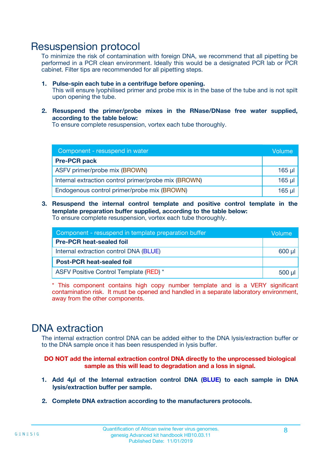### Resuspension protocol

To minimize the risk of contamination with foreign DNA, we recommend that all pipetting be performed in a PCR clean environment. Ideally this would be a designated PCR lab or PCR cabinet. Filter tips are recommended for all pipetting steps.

- **1. Pulse-spin each tube in a centrifuge before opening.** This will ensure lyophilised primer and probe mix is in the base of the tube and is not spilt upon opening the tube.
- **2. Resuspend the primer/probe mixes in the RNase/DNase free water supplied, according to the table below:**

To ensure complete resuspension, vortex each tube thoroughly.

| Component - resuspend in water                       |          |  |
|------------------------------------------------------|----------|--|
| <b>Pre-PCR pack</b>                                  |          |  |
| ASFV primer/probe mix (BROWN)                        | $165$ µ  |  |
| Internal extraction control primer/probe mix (BROWN) | $165$ µl |  |
| Endogenous control primer/probe mix (BROWN)          | 165 µl   |  |

**3. Resuspend the internal control template and positive control template in the template preparation buffer supplied, according to the table below:** To ensure complete resuspension, vortex each tube thoroughly.

| Component - resuspend in template preparation buffer |          |  |  |
|------------------------------------------------------|----------|--|--|
| <b>Pre-PCR heat-sealed foil</b>                      |          |  |  |
| Internal extraction control DNA (BLUE)               |          |  |  |
| <b>Post-PCR heat-sealed foil</b>                     |          |  |  |
| ASFV Positive Control Template (RED) *               | $500$ µl |  |  |

\* This component contains high copy number template and is a VERY significant contamination risk. It must be opened and handled in a separate laboratory environment, away from the other components.

### DNA extraction

The internal extraction control DNA can be added either to the DNA lysis/extraction buffer or to the DNA sample once it has been resuspended in lysis buffer.

**DO NOT add the internal extraction control DNA directly to the unprocessed biological sample as this will lead to degradation and a loss in signal.**

- **1. Add 4µl of the Internal extraction control DNA (BLUE) to each sample in DNA lysis/extraction buffer per sample.**
- **2. Complete DNA extraction according to the manufacturers protocols.**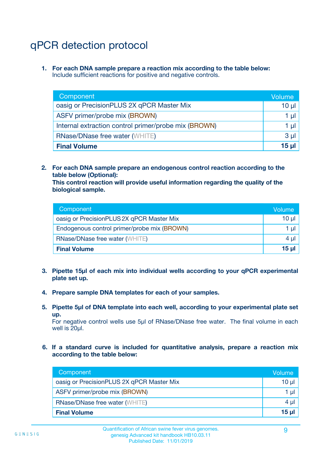# qPCR detection protocol

**1. For each DNA sample prepare a reaction mix according to the table below:** Include sufficient reactions for positive and negative controls.

| Component                                            | Volume   |
|------------------------------------------------------|----------|
| oasig or PrecisionPLUS 2X qPCR Master Mix            | $10 \mu$ |
| ASFV primer/probe mix (BROWN)                        | 1 µI     |
| Internal extraction control primer/probe mix (BROWN) | 1 µl     |
| <b>RNase/DNase free water (WHITE)</b>                | $3 \mu$  |
| <b>Final Volume</b>                                  | 15 µl    |

**2. For each DNA sample prepare an endogenous control reaction according to the table below (Optional):**

**This control reaction will provide useful information regarding the quality of the biological sample.**

| Component                                   | Volume   |
|---------------------------------------------|----------|
| oasig or PrecisionPLUS 2X qPCR Master Mix   | $10 \mu$ |
| Endogenous control primer/probe mix (BROWN) | 1 µI     |
| <b>RNase/DNase free water (WHITE)</b>       | $4 \mu$  |
| <b>Final Volume</b>                         | 15 µl    |

- **3. Pipette 15µl of each mix into individual wells according to your qPCR experimental plate set up.**
- **4. Prepare sample DNA templates for each of your samples.**
- **5. Pipette 5µl of DNA template into each well, according to your experimental plate set up.**

For negative control wells use 5µl of RNase/DNase free water. The final volume in each well is 20ul.

**6. If a standard curve is included for quantitative analysis, prepare a reaction mix according to the table below:**

| Component                                 | Volume          |
|-------------------------------------------|-----------------|
| oasig or PrecisionPLUS 2X qPCR Master Mix | 10 $\mu$        |
| ASFV primer/probe mix (BROWN)             | 1 µI -          |
| <b>RNase/DNase free water (WHITE)</b>     | 4 µl            |
| <b>Final Volume</b>                       | 15 <sub>µ</sub> |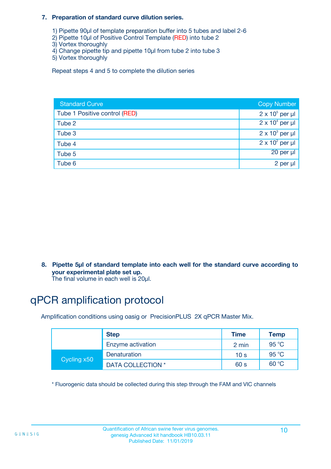#### **7. Preparation of standard curve dilution series.**

- 1) Pipette 90µl of template preparation buffer into 5 tubes and label 2-6
- 2) Pipette 10µl of Positive Control Template (RED) into tube 2
- 3) Vortex thoroughly
- 4) Change pipette tip and pipette 10µl from tube 2 into tube 3
- 5) Vortex thoroughly

Repeat steps 4 and 5 to complete the dilution series

| <b>Standard Curve</b>         | <b>Copy Number</b>     |
|-------------------------------|------------------------|
| Tube 1 Positive control (RED) | $2 \times 10^5$ per µl |
| Tube 2                        | $2 \times 10^4$ per µl |
| Tube 3                        | $2 \times 10^3$ per µl |
| Tube 4                        | $2 \times 10^2$ per µl |
| Tube 5                        | 20 per µl              |
| Tube 6                        | 2 per µl               |

**8. Pipette 5µl of standard template into each well for the standard curve according to your experimental plate set up.**

#### The final volume in each well is 20µl.

## qPCR amplification protocol

Amplification conditions using oasig or PrecisionPLUS 2X qPCR Master Mix.

|             | <b>Step</b>       | <b>Time</b>     | Temp    |
|-------------|-------------------|-----------------|---------|
|             | Enzyme activation | 2 min           | 95 °C   |
| Cycling x50 | Denaturation      | 10 <sub>s</sub> | 95 $°C$ |
|             | DATA COLLECTION * | 60 s            | 60 °C   |

\* Fluorogenic data should be collected during this step through the FAM and VIC channels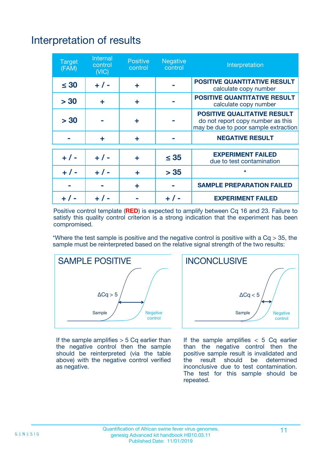# Interpretation of results

| <b>Target</b><br>(FAM) | <b>Internal</b><br>control<br>(NIC) | <b>Positive</b><br>control | <b>Negative</b><br>control | Interpretation                                                                                                  |
|------------------------|-------------------------------------|----------------------------|----------------------------|-----------------------------------------------------------------------------------------------------------------|
| $\leq 30$              | $+ 1 -$                             | ÷                          |                            | <b>POSITIVE QUANTITATIVE RESULT</b><br>calculate copy number                                                    |
| > 30                   | ٠                                   | ÷                          |                            | <b>POSITIVE QUANTITATIVE RESULT</b><br>calculate copy number                                                    |
| > 30                   |                                     | ÷                          |                            | <b>POSITIVE QUALITATIVE RESULT</b><br>do not report copy number as this<br>may be due to poor sample extraction |
|                        | ÷                                   | ÷                          |                            | <b>NEGATIVE RESULT</b>                                                                                          |
| $+ 1 -$                | $+ 1 -$                             | ÷                          | $\leq$ 35                  | <b>EXPERIMENT FAILED</b><br>due to test contamination                                                           |
| $+$ / -                | $+ 1 -$                             | ÷                          | > 35                       | $\star$                                                                                                         |
|                        |                                     | ÷                          |                            | <b>SAMPLE PREPARATION FAILED</b>                                                                                |
|                        |                                     |                            | $+$ /                      | <b>EXPERIMENT FAILED</b>                                                                                        |

Positive control template (**RED**) is expected to amplify between Cq 16 and 23. Failure to satisfy this quality control criterion is a strong indication that the experiment has been compromised.

\*Where the test sample is positive and the negative control is positive with a  $Ca > 35$ , the sample must be reinterpreted based on the relative signal strength of the two results:



If the sample amplifies  $> 5$  Cq earlier than the negative control then the sample should be reinterpreted (via the table above) with the negative control verified as negative.



If the sample amplifies  $< 5$  Cq earlier than the negative control then the positive sample result is invalidated and<br>the result should be determined  $the$  result should be inconclusive due to test contamination. The test for this sample should be repeated.